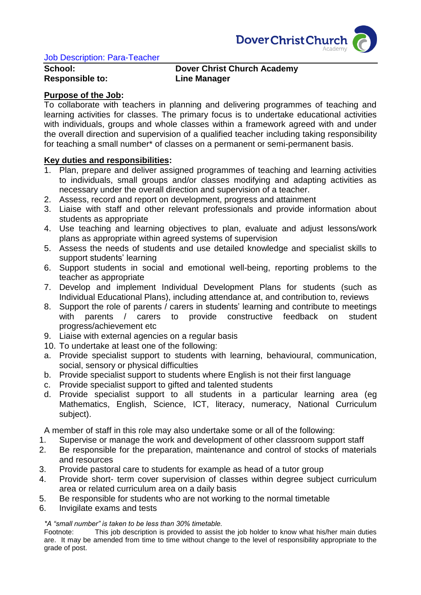

# **School: Dover Christ Church Academy Responsible to: Line Manager**

### **Purpose of the Job:**

To collaborate with teachers in planning and delivering programmes of teaching and learning activities for classes. The primary focus is to undertake educational activities with individuals, groups and whole classes within a framework agreed with and under the overall direction and supervision of a qualified teacher including taking responsibility for teaching a small number\* of classes on a permanent or semi-permanent basis.

### **Key duties and responsibilities:**

- 1. Plan, prepare and deliver assigned programmes of teaching and learning activities to individuals, small groups and/or classes modifying and adapting activities as necessary under the overall direction and supervision of a teacher.
- 2. Assess, record and report on development, progress and attainment
- 3. Liaise with staff and other relevant professionals and provide information about students as appropriate
- 4. Use teaching and learning objectives to plan, evaluate and adjust lessons/work plans as appropriate within agreed systems of supervision
- 5. Assess the needs of students and use detailed knowledge and specialist skills to support students' learning
- 6. Support students in social and emotional well-being, reporting problems to the teacher as appropriate
- 7. Develop and implement Individual Development Plans for students (such as Individual Educational Plans), including attendance at, and contribution to, reviews
- 8. Support the role of parents / carers in students' learning and contribute to meetings with parents / carers to provide constructive feedback on student progress/achievement etc
- 9. Liaise with external agencies on a regular basis
- 10. To undertake at least one of the following:
- a. Provide specialist support to students with learning, behavioural, communication, social, sensory or physical difficulties
- b. Provide specialist support to students where English is not their first language
- c. Provide specialist support to gifted and talented students
- d. Provide specialist support to all students in a particular learning area (eg Mathematics, English, Science, ICT, literacy, numeracy, National Curriculum subject).

A member of staff in this role may also undertake some or all of the following:

- 1. Supervise or manage the work and development of other classroom support staff
- 2. Be responsible for the preparation, maintenance and control of stocks of materials and resources
- 3. Provide pastoral care to students for example as head of a tutor group
- 4. Provide short- term cover supervision of classes within degree subject curriculum area or related curriculum area on a daily basis
- 5. Be responsible for students who are not working to the normal timetable
- 6. Invigilate exams and tests

#### *\*A "small number" is taken to be less than 30% timetable.*

Footnote: This job description is provided to assist the job holder to know what his/her main duties are. It may be amended from time to time without change to the level of responsibility appropriate to the grade of post.